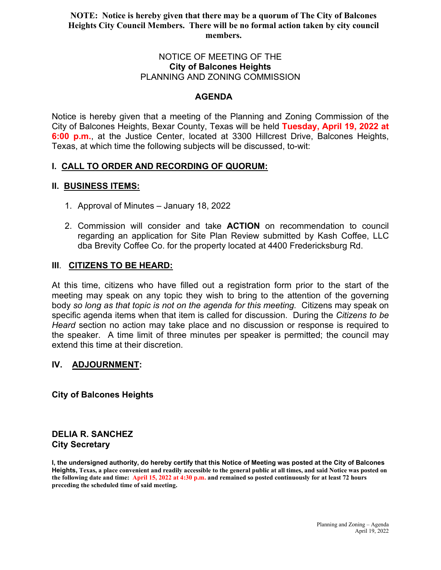## **NOTE: Notice is hereby given that there may be a quorum of The City of Balcones Heights City Council Members. There will be no formal action taken by city council members.**

#### NOTICE OF MEETING OF THE **City of Balcones Heights** PLANNING AND ZONING COMMISSION

## **AGENDA**

Notice is hereby given that a meeting of the Planning and Zoning Commission of the City of Balcones Heights, Bexar County, Texas will be held **Tuesday, April 19, 2022 at 6:00 p.m.**, at the Justice Center, located at 3300 Hillcrest Drive, Balcones Heights, Texas, at which time the following subjects will be discussed, to-wit:

## **I. CALL TO ORDER AND RECORDING OF QUORUM:**

## **II. BUSINESS ITEMS:**

- 1. Approval of Minutes January 18, 2022
- 2. Commission will consider and take **ACTION** on recommendation to council regarding an application for Site Plan Review submitted by Kash Coffee, LLC dba Brevity Coffee Co. for the property located at 4400 Fredericksburg Rd.

## **III**. **CITIZENS TO BE HEARD:**

At this time, citizens who have filled out a registration form prior to the start of the meeting may speak on any topic they wish to bring to the attention of the governing body *so long as that topic is not on the agenda for this meeting.* Citizens may speak on specific agenda items when that item is called for discussion. During the *Citizens to be Heard* section no action may take place and no discussion or response is required to the speaker. A time limit of three minutes per speaker is permitted; the council may extend this time at their discretion.

## **IV. ADJOURNMENT:**

**City of Balcones Heights**

# **DELIA R. SANCHEZ City Secretary**

**I, the undersigned authority, do hereby certify that this Notice of Meeting was posted at the City of Balcones Heights, Texas, a place convenient and readily accessible to the general public at all times, and said Notice was posted on the following date and time: April 15, 2022 at 4:30 p.m. and remained so posted continuously for at least 72 hours preceding the scheduled time of said meeting.**